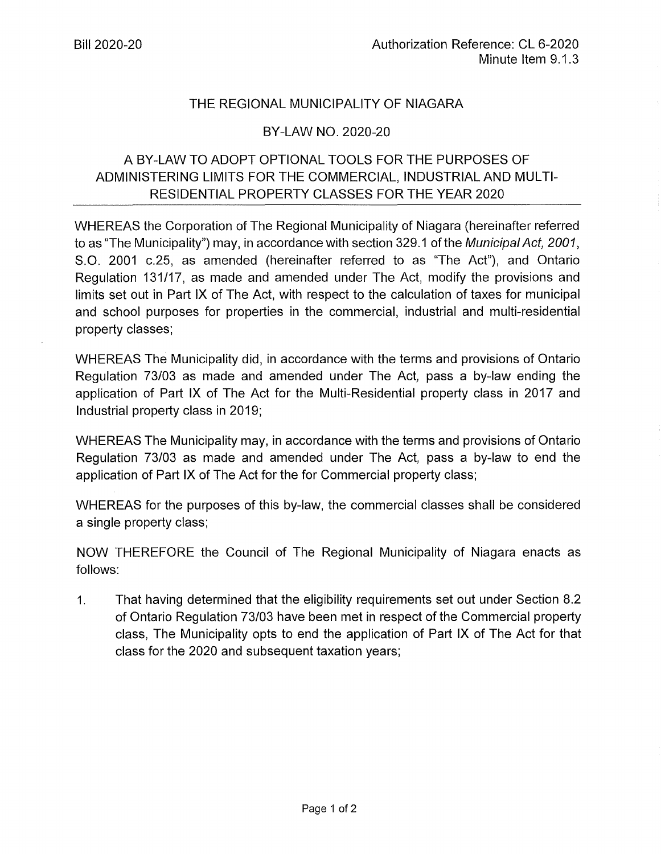## THE REGIONAL MUNICIPALITY OF NIAGARA

## BY-LAW NO. 2020-20

## A BY-LAW TO ADOPT OPTIONAL TOOLS FOR THE PURPOSES OF ADMINISTERING LIMITS FOR THE COMMERCIAL, INDUSTRIAL AND MULTI-RESIDENTIAL PROPERTY CLASSES FOR THE YEAR 2020

WHEREAS the Corporation of The Regional Municipality of Niagara (hereinafter referred to as "The Municipality") may, in accordance with section 329.1 of the Municipal Act, 2001, S.O. 2001 c.25, as amended (hereinafter referred to as "The Act"), and Ontario Regulation 131/17, as made and amended under The Act, modify the provisions and limits set out in Part IX of The Act, with respect to the calculation of taxes for municipal and school purposes for properties in the commercial, industrial and multi-residential property classes;

WHEREAS The Municipality did, in accordance with the terms and provisions of Ontario Regulation 73/03 as made and amended under The Act, pass a by-law ending the application of Part IX of The Act for the Multi-Residential property class in 2017 and Industrial property class in 2019;

WHEREAS The Municipality may, in accordance with the terms and provisions of Ontario Regulation 73/03 as made and amended under The Act, pass a by-law to end the application of Part IX of The Act for the for Commercial property class;

WHEREAS for the purposes of this by-law, the commercial classes shall be considered a single property class;

NOW THEREFORE the Council of The Regional Municipality of Niagara enacts as follows:

1. That having determined that the eligibility requirements set out under Section 8.2 of Ontario Regulation 73/03 have been met in respect of the Commercial property class, The Municipality opts to end the application of Part IX of The Act for that class for the 2020 and subsequent taxation years;